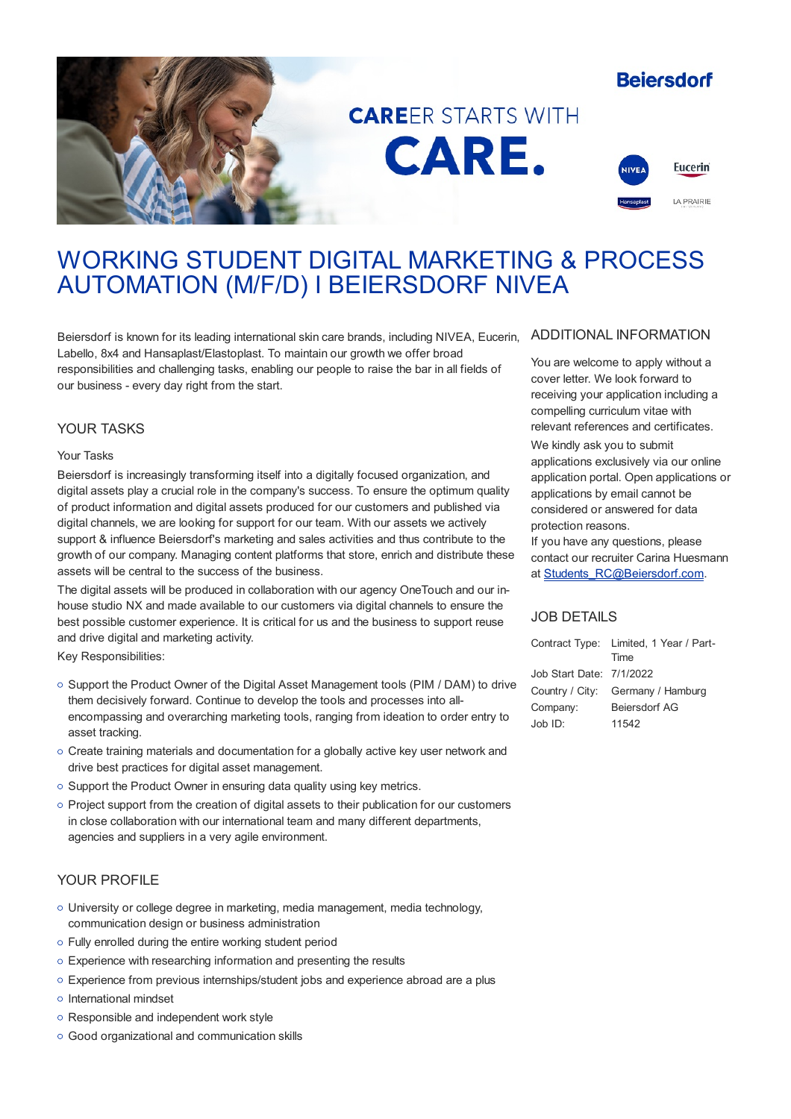# **Beiersdorf**



# **CAREFR STARTS WITH** CARE.



# WORKING STUDENT DIGITAL MARKETING & PROCESS AUTOMATION (M/F/D) I BEIERSDORF NIVEA

Beiersdorf is known for its leading international skin care brands, including NIVEA, Eucerin, Labello, 8x4 and Hansaplast/Elastoplast. To maintain our growth we offer broad responsibilities and challenging tasks, enabling our people to raise the bar in all fields of our business - every day right from the start.

## YOUR TASKS

#### Your Tasks

Beiersdorf is increasingly transforming itself into a digitally focused organization, and digital assets play a crucial role in the company's success. To ensure the optimum quality of product information and digital assets produced for our customers and published via digital channels, we are looking for support for our team. With our assets we actively support & influence Beiersdorf's marketing and sales activities and thus contribute to the growth of our company. Managing content platforms that store, enrich and distribute these assets will be central to the success of the business.

The digital assets will be produced in collaboration with our agency OneTouch and our inhouse studio NX and made available to our customers via digital channels to ensure the best possible customer experience. It is critical for us and the business to support reuse and drive digital and marketing activity.

Key Responsibilities:

- o Support the Product Owner of the Digital Asset Management tools (PIM / DAM) to drive them decisively forward. Continue to develop the tools and processes into allencompassing and overarching marketing tools, ranging from ideation to order entry to asset tracking.
- Create training materials and documentation for a globally active key user network and drive best practices for digital asset management.
- $\circ$  Support the Product Owner in ensuring data quality using key metrics.
- Project support from the creation of digital assets to their publication for our customers in close collaboration with our international team and many different departments, agencies and suppliers in a very agile environment.

# YOUR PROFILE

- University or college degree in marketing, media management, media technology, communication design or business administration
- Fully enrolled during the entire working student period
- Experience with researching information and presenting the results
- Experience from previous internships/student jobs and experience abroad are a plus
- o International mindset
- o Responsible and independent work style
- Good organizational and communication skills

### ADDITIONAL INFORMATION

You are welcome to apply without a cover letter. We look forward to receiving your application including a compelling curriculum vitae with relevant references and certificates.

We kindly ask you to submit applications exclusively via our online application portal. Open applications or applications by email cannot be considered or answered for data protection reasons.

If you have any questions, please contact our recruiter Carina Huesmann at [Students\\_RC@Beiersdorf.com](mailto:Students_RC@Beiersdorf.com).

# JOB DETAILS

|                          | Contract Type: Limited, 1 Year / Part- |
|--------------------------|----------------------------------------|
|                          | Time                                   |
| Job Start Date: 7/1/2022 |                                        |
|                          | Country / City: Germany / Hamburg      |
| Company:                 | <b>Beiersdorf AG</b>                   |
| Job ID:                  | 11542                                  |